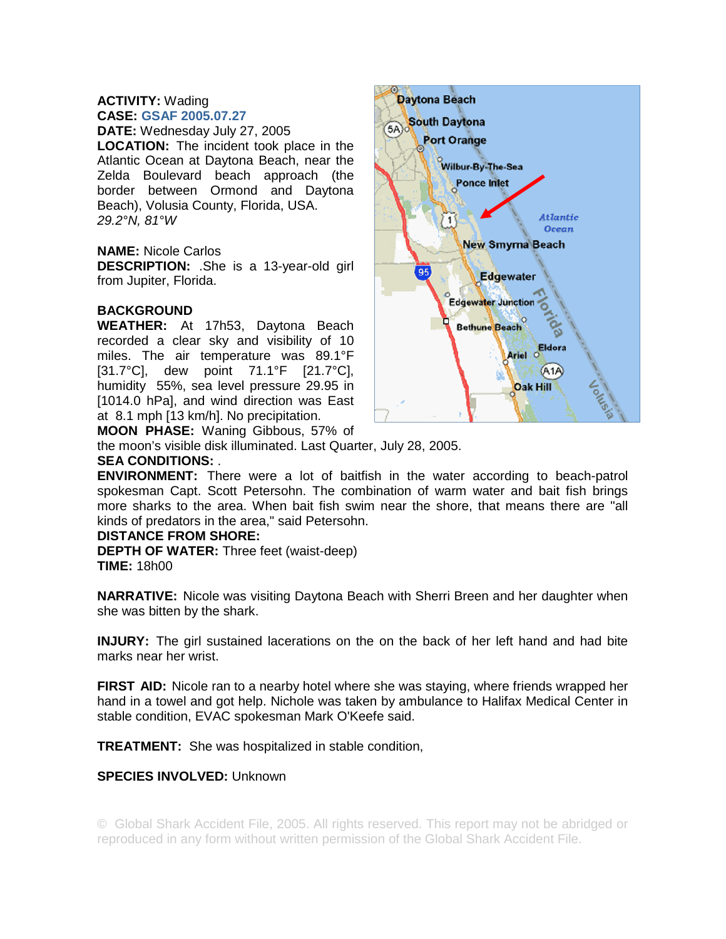## **ACTIVITY:** Wading **CASE: GSAF 2005.07.27**

**DATE:** Wednesday July 27, 2005 **LOCATION:** The incident took place in the Atlantic Ocean at Daytona Beach, near the Zelda Boulevard beach approach (the border between Ormond and Daytona Beach), Volusia County, Florida, USA. *29.2°N, 81°W* 

## **NAME:** Nicole Carlos

**DESCRIPTION:** .She is a 13-year-old girl from Jupiter, Florida.

# **BACKGROUND**

**WEATHER:** At 17h53, Daytona Beach recorded a clear sky and visibility of 10 miles. The air temperature was 89.1°F [31.7°C], dew point 71.1°F [21.7°C], humidity 55%, sea level pressure 29.95 in [1014.0 hPa], and wind direction was East at 8.1 mph [13 km/h]. No precipitation.



**MOON PHASE:** Waning Gibbous, 57% of

the moon's visible disk illuminated. Last Quarter, July 28, 2005.

# **SEA CONDITIONS:** .

**ENVIRONMENT:** There were a lot of baitfish in the water according to beach-patrol spokesman Capt. Scott Petersohn. The combination of warm water and bait fish brings more sharks to the area. When bait fish swim near the shore, that means there are "all kinds of predators in the area," said Petersohn.

## **DISTANCE FROM SHORE:**

**DEPTH OF WATER:** Three feet (waist-deep) **TIME:** 18h00

**NARRATIVE:** Nicole was visiting Daytona Beach with Sherri Breen and her daughter when she was bitten by the shark.

**INJURY:** The girl sustained lacerations on the on the back of her left hand and had bite marks near her wrist.

**FIRST AID:** Nicole ran to a nearby hotel where she was staying, where friends wrapped her hand in a towel and got help. Nichole was taken by ambulance to Halifax Medical Center in stable condition, EVAC spokesman Mark O'Keefe said.

**TREATMENT:** She was hospitalized in stable condition,

# **SPECIES INVOLVED:** Unknown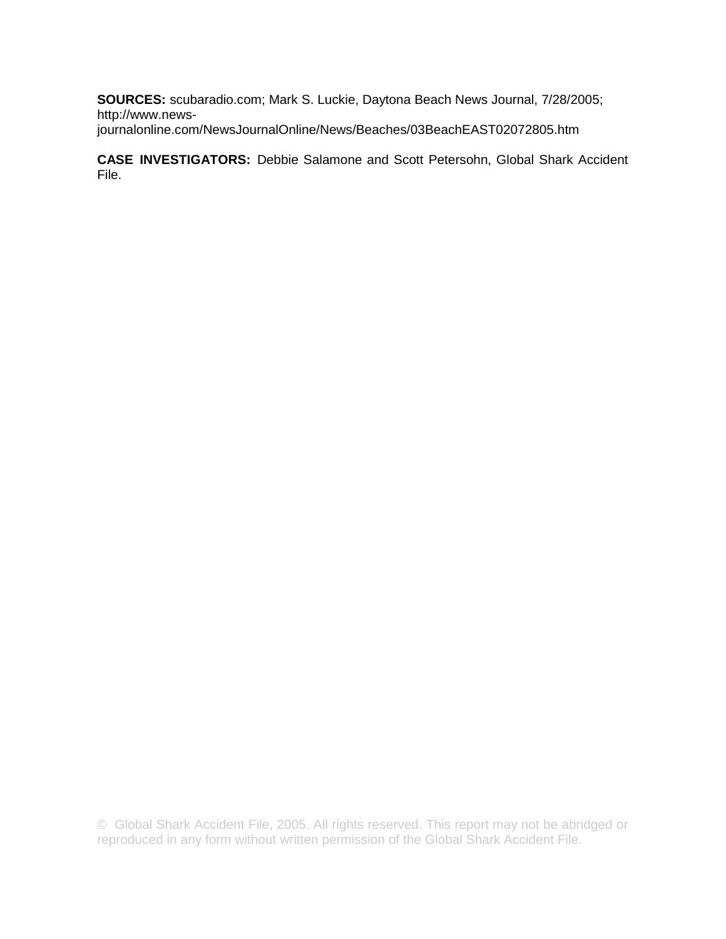**SOURCES:** scubaradio.com; Mark S. Luckie, Daytona Beach News Journal, 7/28/2005; http://www.newsjournalonline.com/NewsJournalOnline/News/Beaches/03BeachEAST02072805.htm

**CASE INVESTIGATORS:** Debbie Salamone and Scott Petersohn, Global Shark Accident File.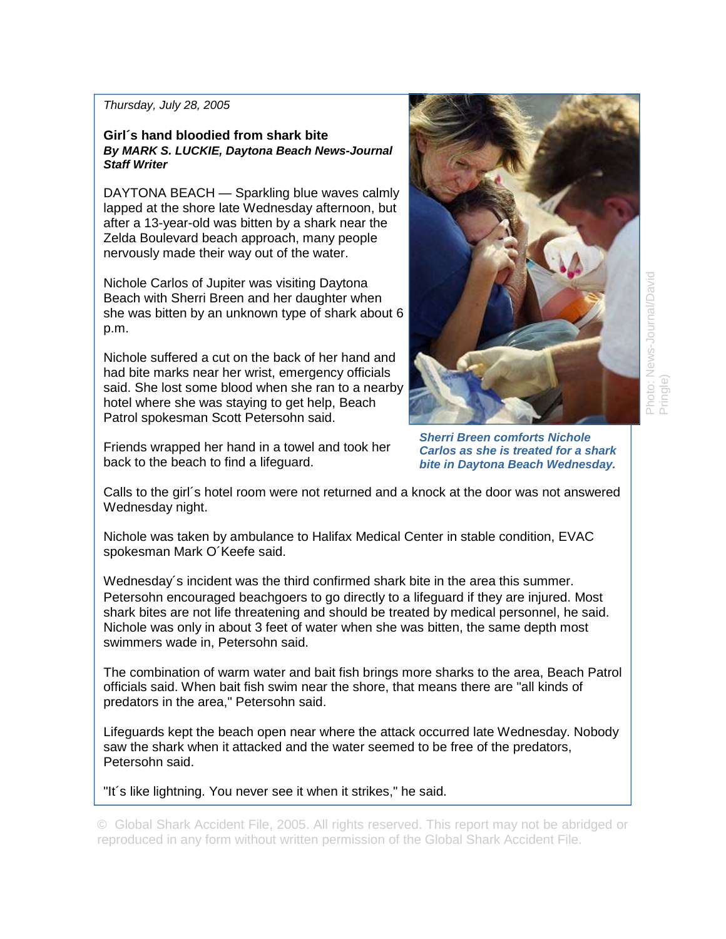### *Thursday, July 28, 2005*

### **Girl´s hand bloodied from shark bite**  *By MARK S. LUCKIE, Daytona Beach News-Journal Staff Writer*

DAYTONA BEACH — Sparkling blue waves calmly lapped at the shore late Wednesday afternoon, but after a 13-year-old was bitten by a shark near the Zelda Boulevard beach approach, many people nervously made their way out of the water.

Nichole Carlos of Jupiter was visiting Daytona Beach with Sherri Breen and her daughter when she was bitten by an unknown type of shark about 6 p.m.

Nichole suffered a cut on the back of her hand and had bite marks near her wrist, emergency officials said. She lost some blood when she ran to a nearby hotel where she was staying to get help, Beach Patrol spokesman Scott Petersohn said.

Friends wrapped her hand in a towel and took her back to the beach to find a lifeguard.

*Sherri Breen comforts Nichole Carlos as she is treated for a shark bite in Daytona Beach Wednesday.* 

Calls to the girl´s hotel room were not returned and a knock at the door was not answered Wednesday night.

Nichole was taken by ambulance to Halifax Medical Center in stable condition, EVAC spokesman Mark O´Keefe said.

Wednesday´s incident was the third confirmed shark bite in the area this summer. Petersohn encouraged beachgoers to go directly to a lifeguard if they are injured. Most shark bites are not life threatening and should be treated by medical personnel, he said. Nichole was only in about 3 feet of water when she was bitten, the same depth most swimmers wade in, Petersohn said.

The combination of warm water and bait fish brings more sharks to the area, Beach Patrol officials said. When bait fish swim near the shore, that means there are "all kinds of predators in the area," Petersohn said.

Lifeguards kept the beach open near where the attack occurred late Wednesday. Nobody saw the shark when it attacked and the water seemed to be free of the predators, Petersohn said.

"It´s like lightning. You never see it when it strikes," he said.